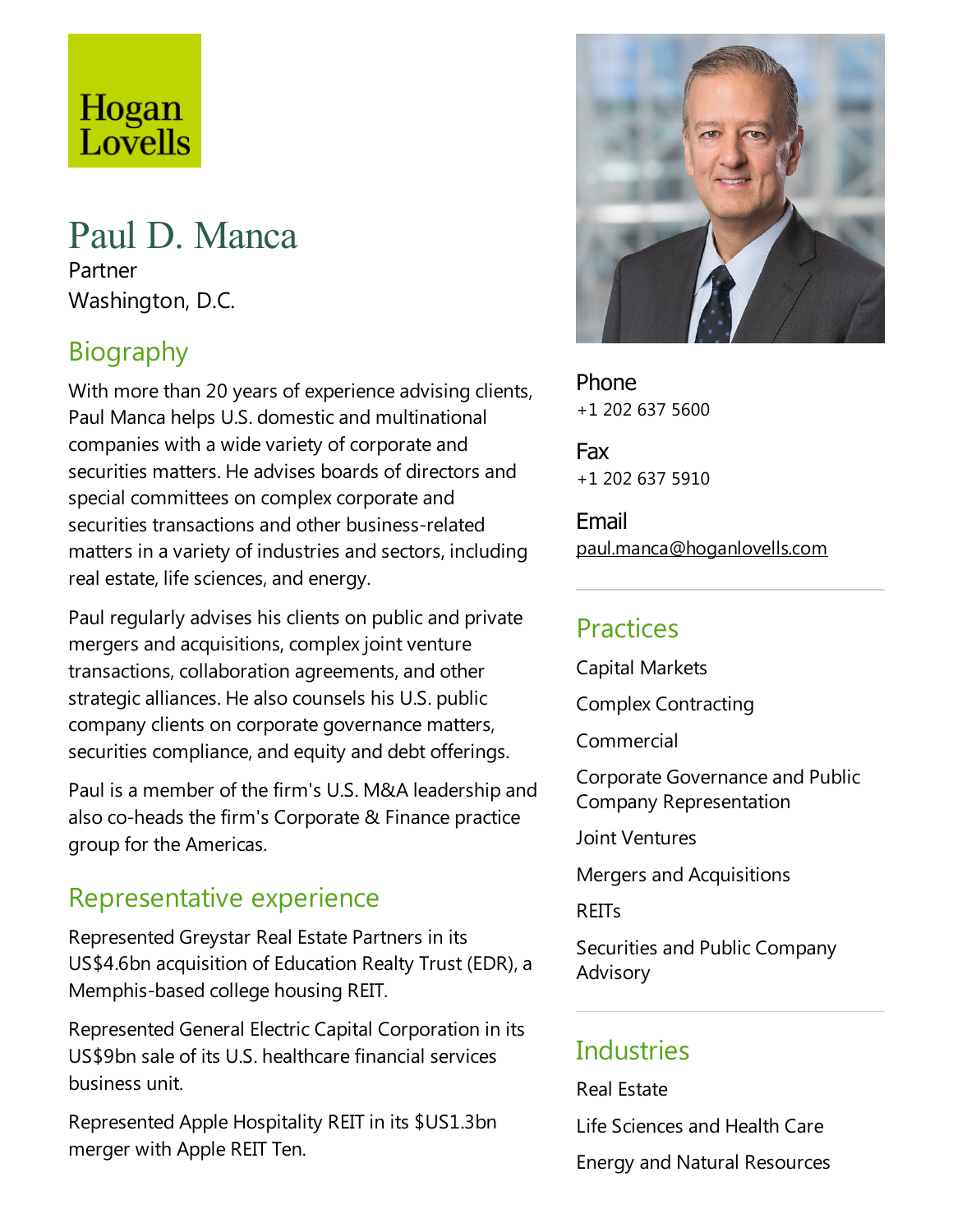# Hogan Lovells

# Paul D. Manca

Partner Washington, D.C.

# Biography

With more than 20 years of experience advising clients, Paul Manca helps U.S. domestic and multinational companies with a wide variety of corporate and securities matters. He advises boards of directors and special committees on complex corporate and securities transactions and other business-related matters in avariety of industries and sectors, including real estate, life sciences, and energy.

Paul regularly advises his clients on public and private mergers and acquisitions, complex joint venture transactions, collaboration agreements, and other strategic alliances. He also counsels his U.S. public company clients on corporate governance matters, securities compliance, and equity and debt offerings.

Paul is a member of the firm's U.S. M&A leadership and also co-heads the firm's Corporate & Finance practice group for the Americas.

# Representative experience

Represented Greystar Real Estate Partners in its US\$4.6bn acquisition of Education Realty Trust (EDR), a Memphis-based college housing REIT.

Represented General Electric Capital Corporation in its US\$9bn sale of its U.S. healthcarefinancial services business unit.

Represented Apple Hospitality REIT in its \$US1.3bn merger with Apple REIT Ten.



Phone +1 202 637 5600

Fax +1 202 637 5910

Email paul.manca@hoganlovells.com

## Practices

Capital Markets Complex Contracting

Commercial

Corporate Governance and Public Company Representation

Joint Ventures

Mergers and Acquisitions

REITs

Securities and Public Company Advisory

# **Industries**

Real Estate

Life Sciences and Health Care Energy and Natural Resources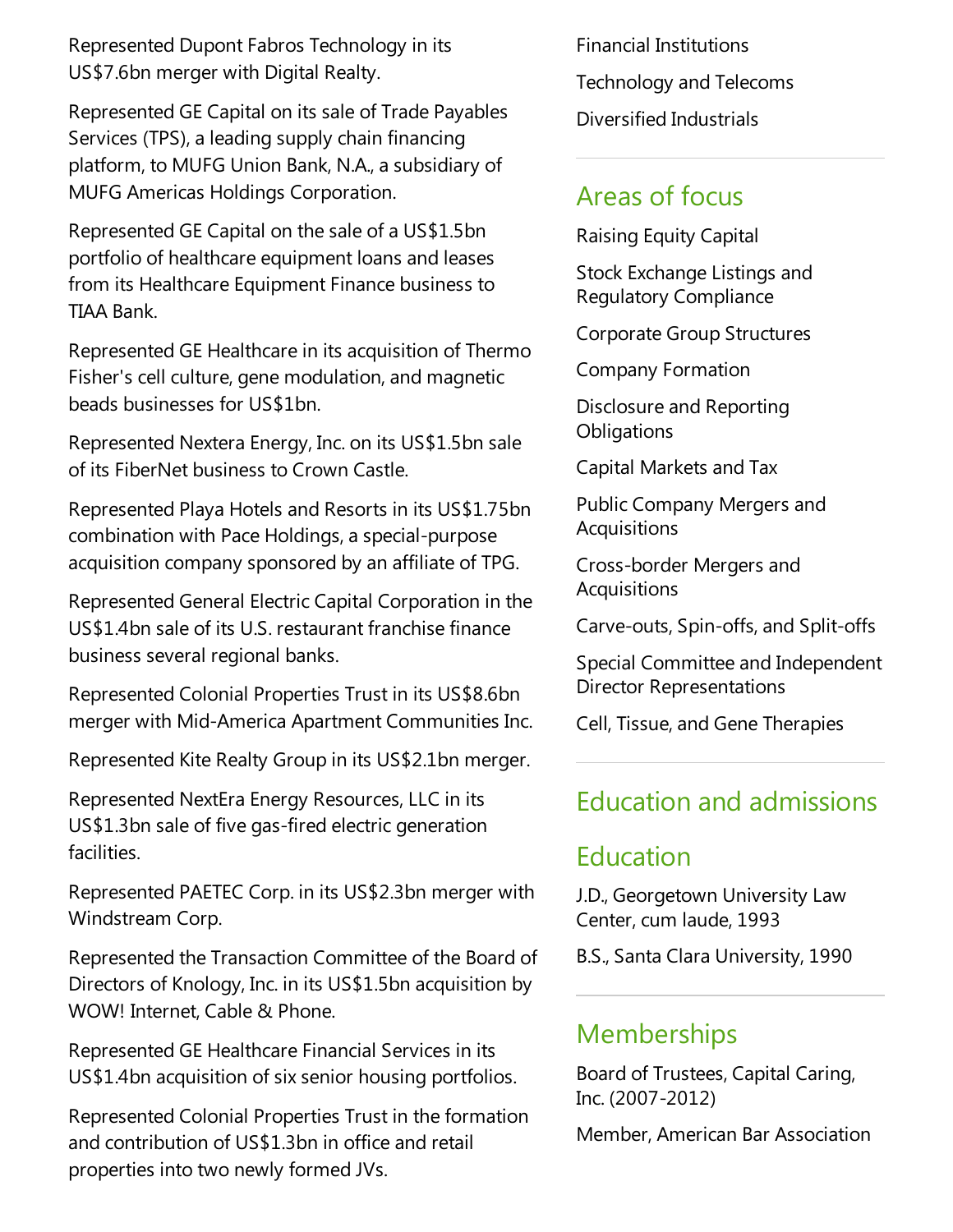Represented Dupont Fabros Technology in its US\$7.6bn merger with Digital Realty.

Represented GE Capital on its sale of Trade Payables Services (TPS), a leading supply chain financing platform, to MUFG Union Bank, N.A., a subsidiary of MUFG Americas Holdings Corporation.

Represented GE Capital on the sale of a US\$1.5bn portfolio of healthcare equipment loans and leases from its Healthcare Equipment Finance business to TIAA Bank.

Represented GE Healthcare in its acquisition of Thermo Fisher's cell culture, gene modulation, and magnetic beads businesses for US\$1bn.

Represented Nextera Energy, Inc. on its US\$1.5bn sale of its FiberNet business to Crown Castle.

Represented Playa Hotels and Resorts in its US\$1.75bn combination with Pace Holdings, a special-purpose acquisition company sponsored by an affiliate of TPG.

Represented General Electric Capital Corporation in the US\$1.4bn sale of its U.S. restaurant franchise finance business several regional banks.

Represented Colonial Properties Trust in its US\$8.6bn merger with Mid-America Apartment Communities Inc.

Represented Kite Realty Group in its US\$2.1bn merger.

Represented NextEra Energy Resources, LLC in its US\$1.3bn sale of five gas-fired electric generation facilities.

Represented PAETEC Corp. in its US\$2.3bn merger with Windstream Corp.

Represented the Transaction Committee of the Board of Directors of Knology, Inc. in its US\$1.5bn acquisition by WOW! Internet, Cable & Phone.

Represented GE Healthcare Financial Services in its US\$1.4bn acquisition of six senior housing portfolios.

Represented Colonial Properties Trust in the formation and contribution of US\$1.3bn in office and retail properties into two newly formed JVs.

Financial Institutions Technology and Telecoms Diversified Industrials

## Areas of focus

Raising Equity Capital

Stock Exchange Listings and Regulatory Compliance

Corporate Group Structures

Company Formation

Disclosure and Reporting **Obligations** 

Capital Markets and Tax

Public Company Mergers and Acquisitions

Cross-border Mergers and **Acquisitions** 

Carve-outs, Spin-offs,and Split-offs

Special Committee and Independent Director Representations

Cell, Tissue, and Gene Therapies

## Education and admissions

#### Education

J.D., Georgetown University Law Center, cum laude, 1993

B.S., Santa Clara University, 1990

## **Memberships**

Board of Trustees, Capital Caring, Inc. (2007-2012)

Member, American Bar Association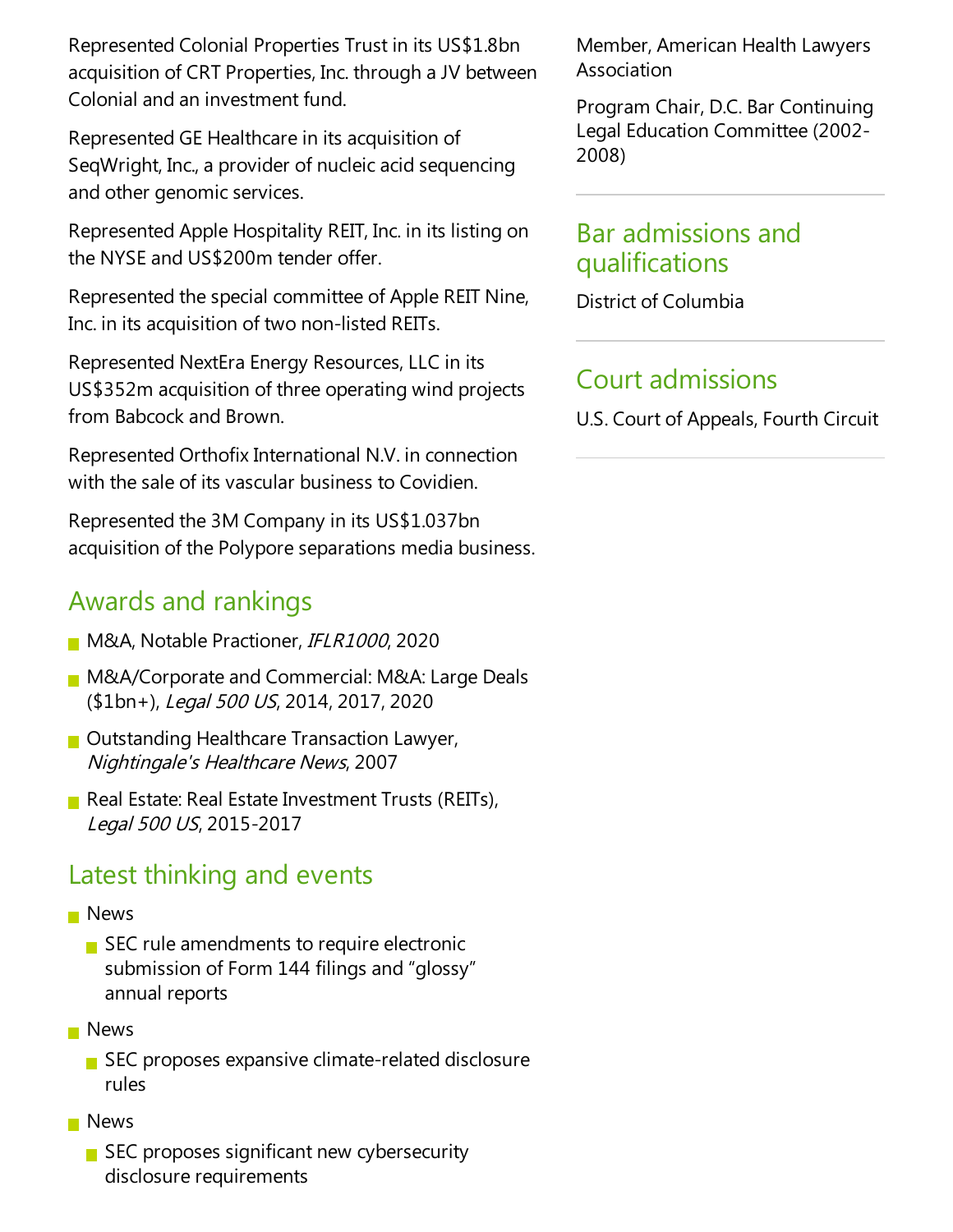Represented Colonial Properties Trust in its US\$1.8bn acquisition of CRT Properties, Inc. through aJV between Colonial and an investment fund.

Represented GE Healthcare in its acquisition of SeqWright, Inc., a provider of nucleic acid sequencing and other genomic services.

Represented Apple Hospitality REIT, Inc. in its listing on the NYSEand US\$200m tender offer.

Represented the special committee of Apple REIT Nine, Inc. in its acquisition of two non-listed REITs.

Represented NextEra Energy Resources, LLC in its US\$352m acquisition of three operating wind projects from Babcock and Brown.

Represented Orthofix International N.V. in connection with the sale of its vascular business to Covidien.

Represented the 3M Company in its US\$1.037bn acquisition of the Polypore separations media business.

## Awards and rankings

- M&A, Notable Practioner, IFLR1000, 2020
- **M&A/Corporate and Commercial: M&A: Large Deals** (\$1bn+), Legal 500 US, 2014, 2017, 2020
- $\blacksquare$  Outstanding Healthcare Transaction Lawyer, Nightingale's Healthcare News, 2007
- Real Estate: Real Estate Investment Trusts (REITs), Legal <sup>500</sup> US, 2015-2017

## Latest thinking and events

#### **News**

- $\blacksquare$  SEC rule amendments to require electronic submission of Form 144 filings and "glossy" annual reports
- **News** 
	- $\blacksquare$  SEC proposes expansive climate-related disclosure rules
- **News** 
	- SEC proposes significant new cybersecurity disclosure requirements

Member, American Health Lawyers Association

Program Chair, D.C. Bar Continuing Legal Education Committee(2002- 2008)

## Bar admissions and qualifications

District of Columbia

# Court admissions

U.S. Court of Appeals, Fourth Circuit